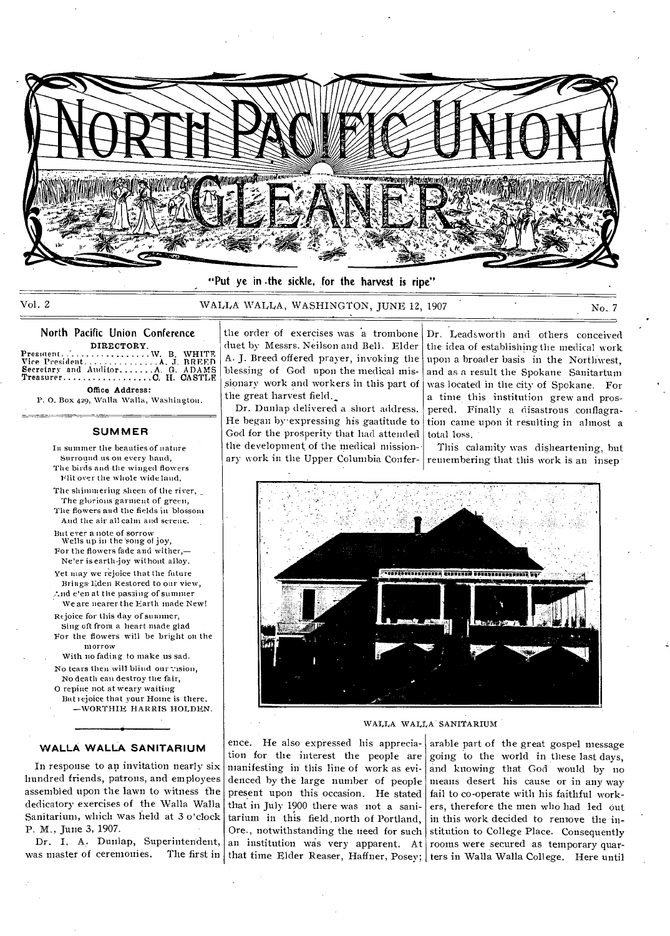

"Put ye in .the sickle, for the harvest is ripe"

Vol. 2 6 WALLA WALLA, WASHINGTON, JUNE 12, 1907 No. 7

North Pacific Union Conference

DIRECTORY Presinent W. S. WHITE Vice President A J. BREED Secretary and Auditor A G. ADAMS Treasurer C H. CASTLE Office Address:

P. 0. Box 429, Walla Walla, Washington.

#### **SUMMER**

In summer the beauties of nature Surround us ou every hand,

The birds and the winged flowers Flit over the whole wide land,

The shimmering sheen of the river, The glorious garment of green, The flowers and the fields in blossom

And the air all calm and serene.

But ever a note of sorrow Wells up in the 'song of joy, For the flowers fade and wither,— Ne'er is earth-joy without alloy.

Yet may we rejoice that the future Brings-Eden Restored to oar view,

And e'en at the passing of summer We are nearer the Earth made New!

Rejoice for this day of summer, Sing oft from a heart made glad For the flowers will be bright on the morrow

With no fading to make us sad. No tears then will blind our vision, No death can destroy the fair,

0 repine not at weary waiting But rejoice that your Home is there.

—WORTHIE HARRIS HOLDEN.

#### **WALLA WALLA SANITARIUM**

In response to an invitation nearly six hundred friends, patrons, and employees assembled upon the lawn to witness the dedicatory exercises of the Walla Walla Sanitarium, which was held at 3 o'clock P. M., June 3, 1907.

Dr. I. A. Dunlap, Superintendent, was master of ceremonies.

the order of exercises was a trombone duet by Messrs. Neilson and Bell. Elder A. J. Breed offered prayer, invoking the 'blessing of God upon the medical missionary work and workers in this part of the great harvest field.

Dr. Dunlap delivered a short address. He began by•expressing his gaatitude to God for the prosperity that had attended the development of the medical mission-• ary work in the Upper Columbia ConferDr. Leadsworth and others conceived the idea of establishing the medical work upon a broader basis in the Northwest, and as a result the Spokane Sanitartum was located in the city of Spokane. For a time this institution grew and prospered. Finally a disastrous .conflagration came upon it resulting in almost a total loss.

This calamity was disheartening, but remembering that this work is an insep



WALLA WALLA SANITARIUM

ence. He also expressed his appreciation for the interest the people are manifesting in this line of work as evidenced by the large number of people present upon this occasion. He stated that in July 1900 there was not a sanitarium in this field.north of Portland, Ore., notwithstanding the need for such an institution was very apparent. At that time Elder Reaser, Haffner, Posey; ters in Walla Walla College. Here until

arable part of the great gospel message going to the world in these last days, and knowing that God would by no means desert his cause or in any way fail to co-operate with his faithful workers, therefore the men who had led out in this work decided to remove the institution to College Place. Consequently rooms were secured as temporary quar-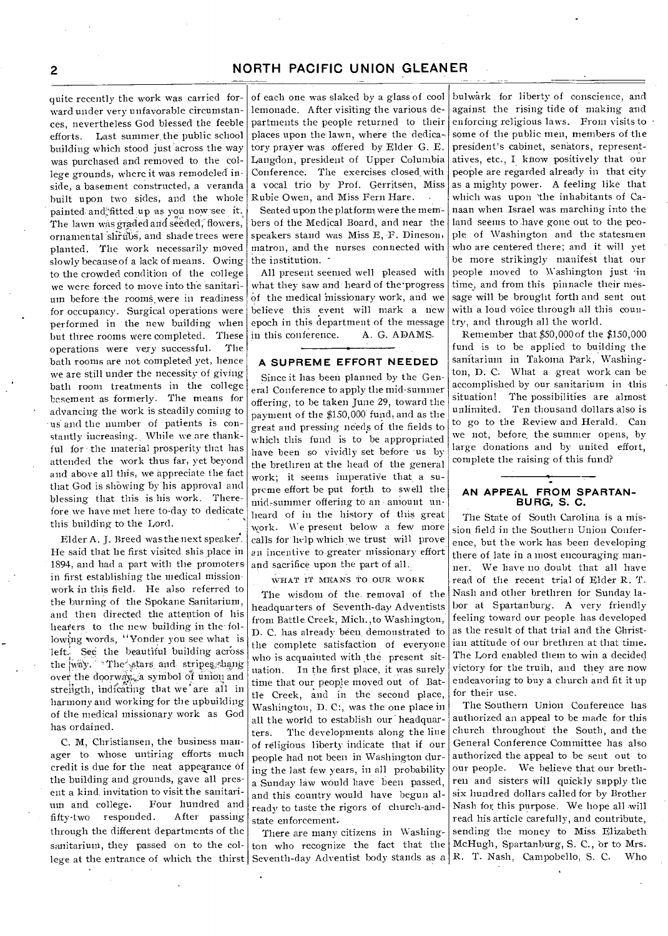quite recently the work was carried forward under very unfavorable circumstances, nevertheless God blessed the feeble efforts. Last summer, the public school building which stood just across the way was purchased and removed to the college grounds, where it was remodeled inside, a basement constructed, a veranda built upon two sides, and the whole painted. and'2fitted up as you now-see it. The lawn was graded and seeded, flowers, ornamental shrubs, and shade trees were planted. The work necessarily moved slowly because of a lack of means. Owing to the crowded condition of the college we were forced to move into the sanitarium before the rooms were in readiness for occupancy. Surgical operations were performed in the new building when but three rooms were completed. These operations were very successful. The bath rooms are not. completed yet, hence we are still under the necessity of giving bath room treatments in the college basement as formerly. The means for advancing the work is steadily coming to us and the number of patients is constantly increasing.. While we are thankful for the material prosperity that has attended the work thus far, yet beyond and above all this, we appreciate the fact that God is showing by his approval and blessing that this is his work. Therefore we have met here to-day to dedicate this building to the Lord.

Elder A. J. Breed was the next speaker. He said that he first visited shis place in 1894, and had a part with the promoters. in first establishing the medical mission. work in this field. He also referred to the burning of the Spokane Sanitarium, and then directed the attention of his hearers to the new building in the following words, "Yonder you see what is left. See the beautiful building across the way. \*The stars and stripes hang over the doorway. a symbol of union and strength, indicating that we are all in harmony and working for the upbuilding of the medical missionary work as God has ordained.

C. M, Christiansen, the business manager to whose untiring efforts much credit is due for the neat appearance of the building and grounds, gave all present a kind invitation to visit the sanitarium and college. Four hundred and fifty-two responded. After passing through the different departments of the sanitarium, they passed on to the col-

of each one was slaked by a glass of cool lemonade. After visiting the various departments the people returned to their places upon the lawn, where the dedicatory prayer was offered by Elder G. E. Langdon, president of Upper Columbia Conference. The exercises closed with a vocal trio by Prof. Gerritsen, Miss Rubie Owen, and Miss Fern Hare.

Seated upon the platform were the members of the Medical Board, and near the speakers stand was Miss E, F. Dineson, matron, and the nurses connected with the institution.

All present seemed well pleased with what they saw and heard of the progress of the medical missionary work, and we believe this event will mark a new epoch in this department of the message in this conference. A. G. ADAMS.

#### **A SUPREME EFFORT NEEDED**

Since it has been planned by the General Conference to apply the mid-summer offering, to be taken June 29, toward the payment of the \$150,000 fund, and as the great and pressing needs of the fields to which this fund is to- be appropriated have been so vividly set before us by the brethren at the head of the general work; it seems imperative that a supreme effort be put forth to swell the mid-summer offering to an amount unheard of in the history of this great work. We present below a few more calls for help which we trust will prove an incentive to greater missionary effort and sacrifice upon the part of all.

WHAT IT MEANS TO OUR WORK

The wisdom of the removal of the headquarters of Seventh-day Adventists from Battle Creek, Mich.,to Washington, D. C. has already been. demonstrated to the complete satisfaction of everyone who is acquainted with the present situation. In the first place, it was surely time that our people moved out of Battle Creek., and in the second place, Washington, D. C:, was the one place in all the world to establish our headquarters. The developments along the line of religious liberty indicate that if our people had not been in Washington during the last few years, in all probability a Sunday law would have been passed, and this country would have begun already to taste the rigors of church-andstate enforcement.

lege at the entrance of which the thirst Seventh-day Adventist body stands as a R. T. Nash, Campobello, S. C. Who There are many citizens in Washington who recognize the fact that the

bulwark for liberty of conscience, and against the rising tide of making and enforcing religious laws. From visits to • some of the public men, members of the president's cabinet, senators, representatives, etc., I know positively that our people are regarded already in that city as a mighty power. A feeling like that which was upon 'the inhabitants of Canaan when Israel was marching into the land seems to have gone out to the people of Washington and the statesmen who are centered there; and it will yet be more strikingly manifest that our People moved to Washington just in time, and from this pinnacle their message will be brought forth and sent out with a loud voice through all this country, and through all the world,

Remember that \$50,000 of the \$150,000 fund is to be applied to building the sanitarium in Takoma Park, Washington, D. C. What a great work can be accomplished by our sanitarium in this situation! The possibilities are almost unlimited. Ten thousand dollars also is to go to the Review and Herald. Can we not, before, the summer opens, by large donations and by united effort, complete the raising of this fund?

#### **AN APPEAL FROM SPARTAN-BURG, S. C.**

The State of South Carolina is a mission field in the Southern Union Conference, but the work has been developing there of late in a most encouraging manner. We have no doubt that all have read of the recent trial of Elder R. T. Nash and other brethren for Sunday labor at Spartanburg. A very friendly feeling toward our people has developed as the result of that trial and the Christian attitude of our brethren at that time. The Lord enabled them to win a decided victory for the truih, and they are now endeavoring to buy a church and fit it up for their use.

The Southern Union Conference has authorized an appeal to be made for this church throughout the South, and the General Conference Committee has also authorized the appeal to be sent out to our people. We believe that our brethren and sisters will quickly supply the six hundred dollars called for by Brother Nash for this purpose. We hope all will read his article carefully, and contribute, sending the money to Miss Elizabeth McHugh, Spartanburg, S. C., or to Mrs.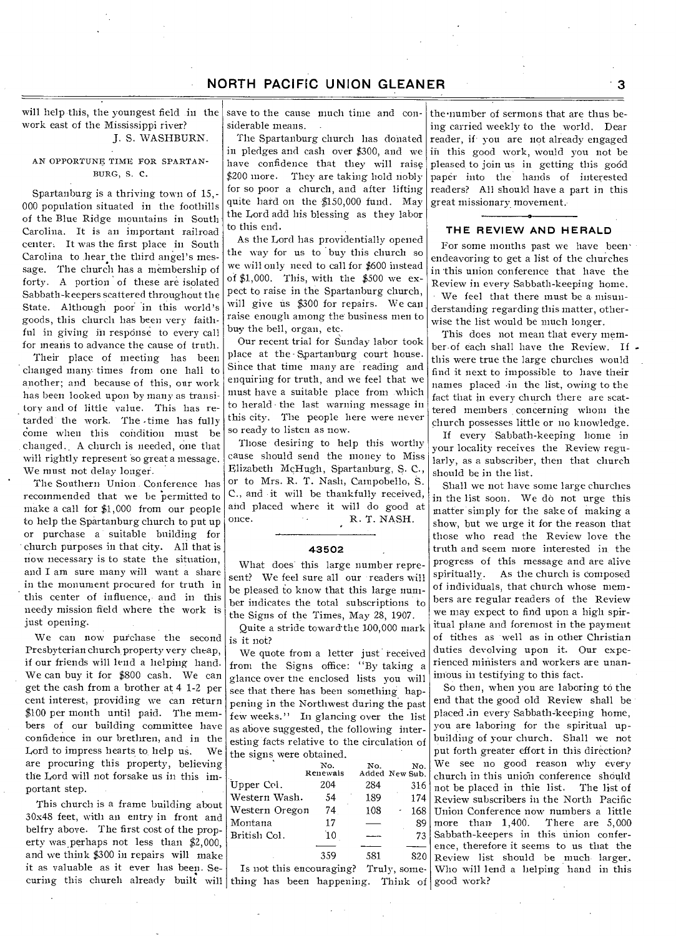# **NORTH PACIFIC UNION GLEANER 1999 12:33**

will help this, the youngest field in the work east of the Mississippi river? J. S. WASHBURN.

### AN OPPORTUNE TIME FOR SPARTAN-BURG, S. C.

Spartanburg is a thriving town of 15,- 000 population situated in the foothills of the Blue Ridge mountains in South Carolina. It is an important railroad center. It was the first place in South Carolina to hear the third angel's message. The church has a membership of forty. A portion of these are isolated Sabbath-keepers scattered throughout the State. Although poor in this world's goods, this church has been very faithful in giving iii response to every call for means to advance the cause of truth.

Their place of meeting has been changed many times from one hall to another; and because of this, our work has been looked upon by many as transitory and of little value. This has retarded the work. The time has fully come when this condition must be changed.. A church is needed, one that will rightly represent so great a message. We must not delay longer.

The Southern. Union . Conference has recommended that we be 'permitted to make a call for \$1,000 from our people to help the Spartanburg church to put up or purchase a suitable building for church purposes in that city. All that is now necessary is to state the situation, and I am sure many will want a share in the monument procured for truth in this center of influence, and in this needy mission field where the work is just opening.

We can now purchase the second Presbyterian church property very cheap, if our friends will lend a helping hand. We can buy it for \$800 cash. We can get the cash from a brother at 4 1-2 per cent interest, providing we can return \$100 per month until paid. The members of our building committee have confidence in our brethren, and in the Lord to impress hearts to help us. We are procuring this property, believing the Lord will not forsake us in this important step.

This church is a frame building about 30x48 feet, with an entry in front and belfry above. The first cost of the property was perhaps not less than \$2,000, and we think \$300 in repairs will make it as valuable as it ever has been. Se-

save to the cause much time and considerable means.

The Spartanburg church has donated in pledges and cash over \$300, and we have confidence that they will raise \$200 more. They are taking hold nobly for so poor a church, and after lifting quite hard on the \$150,000 fund. May the Lord add his blessing as they labor to this end.

As the Lord has providentially opened the way for us to buy this church so we will only need to call for \$600 instead of \$1,000. This, with the \$500 we expect to raise in the Spartanburg church, will give us \$300 for repairs. We can raise enough among the business men to buy the bell, organ, etc.

Our recent trial for Sunday labor took place at the -Spartanburg court house. Since that time many are reading and enquiring for truth, and we feel that we must have a suitable place from .which to herald • the last warning message in this city. The people here were never so ready to listen as now.

Those desiring to help this worthy cause should send the money to Miss Elizabeth McHugh, Spartanburg, S. C., or to Mrs. R. T. Nash, Campobello, S. C., and it will be thankfully received, and placed where it will do good at once. R. T. NASH.

#### **43502**

What does' this large number represent? We feel sure all our readers will be pleased to know that this large number indicates the total subscriptions to the Signs of the Times, May 28, 1907.

Quite a stride toward the 100,000 mark is it not?

We quote from a letter just received from the Signs office: "By taking a glance over the enclosed lists you will see that there has been something happening in the Northwest during the past few weeks." In glancing over the list as above suggested, the following interesting facts relative to the circulation of the signs were obtained.

|                | No.      | No.            | No. |
|----------------|----------|----------------|-----|
|                | Renewals | Added New Sub. |     |
| Upper Col.     | 204      | 284            | 316 |
| Western Wash.  | 54       | 189            | 174 |
| Western Oregon | 74       | 108            | 168 |
| Montana        | 17       |                | 89  |
| British Col.   | `10      |                | 73  |
|                |          |                |     |
|                | 359      | 581            |     |
|                |          |                |     |

curing this chureh already built will thing has been happening. Think of good work? Is not this encouraging? Truly, some-

the•nunmber of sermons that are thus being carried weekly to the world. Dear reader, if-you are not already engaged in this good work, would you not be pleased to join us in getting this good paper into the hands of interested readers? All should have a part in this great missionary movement.-

#### **THE REVIEW AND HERALD**

For some months past we have been• endeavoring to get a list of the churches in this union conference that have the Review in every Sabbath-keeping home. We feel that there must be a misunderstanding regarding this matter, otherwise the list would be much longer.

This does not mean that every member of each shall have the Review. If this were true the large churches would find it next to impossible to have their names placed •in the list, owing to the fact that in every church there are scattered members concerning whom the church possesses little or no knowledge.

If every Sabbath-keeping home in your locality receives the Review regularly, as a subscriber, then that church should be in the list.

Shall we not have some large churches in the list soon. We do not urge this matter simply for the sake of making a show, but we urge it for the reason that those who read the Review love the truth and seem more interested in the progress of this message and are alive spiritually. As the church is composed of individuals, that church whose members are regular readers of the Review we may expect to find upon a high spiritual plane and foremost in the payment of tithes as well as in other Christian duties devolving upon it. Our experienced ministers and workers are unanimous in testifying to this fact.

So then, when you are laboring to the end that the good old Review shall be placed .in every Sabbath-keeping home, you are laboring for the spiritual upbuilding of your church. Shall we not put forth greater effort in this direction? We see no good reason why every church in this union conference should not be placed in thie list. The list of Review subscribers in the North Pacific Union Conference now numbers a little more than 1,400. There are 5,000 Sabbath-keepers in this union conference, therefore it seems to us that the Review list should be much larger.. Who will lend a helping hand in this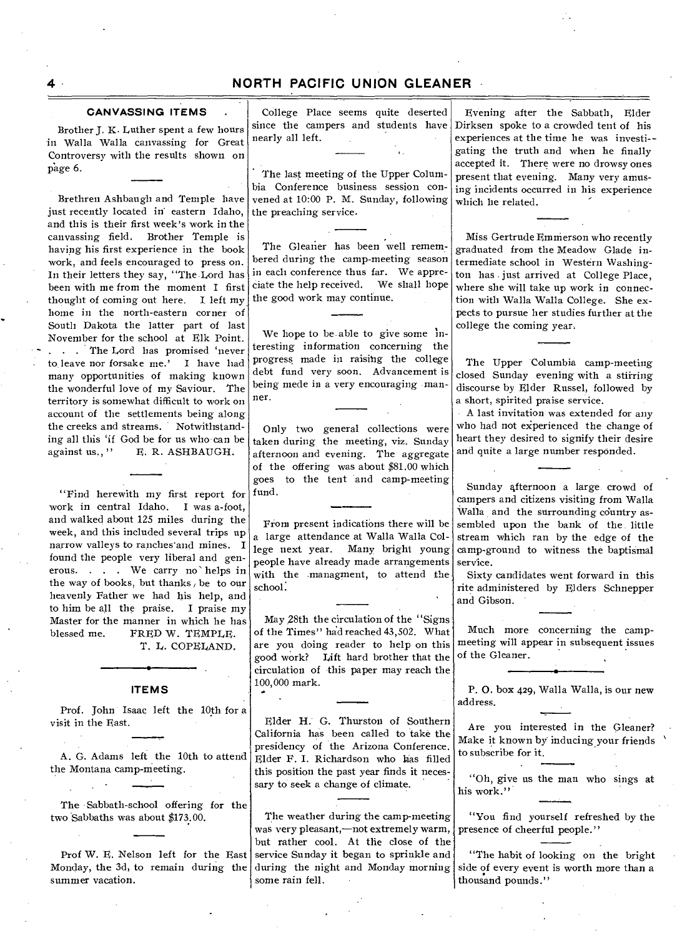### **CANVASSING ITEMS .**

Brother J. K. Luther spent a few hours in Walla Walla canvassing for Great Controversy with the results shown on page 6.

Brethren Ashbaugh and Temple have just recently located in. eastern Idaho, and this is their first week's work in the canvassing field. Brother Temple is having his first experience in the book work, and feels encouraged to press on. In their letters they say, "The Lord has been with me from the moment I first thought of coming out here. I left my, home in the north-eastern corner of South Dakota the latter part of last November for the school at Elk Point. . . . The Lord has promised 'never to leave nor forsake me.' I have had many opportunities of making known the wonderful love of my Saviour. The territory is somewhat difficult to work on account of the settlements being along the creeks and streams. Notwithstanding all this 'if God be for us who can be against us...'' E. R. ASHBAUGH. E. R. ASHBAUGH.

"Find herewith my first report for work in central Idaho. I was a-foot, and walked about 125 miles during the week, and this included several trips up narrow valleys to ranches'and mines. I found the people very liberal and generous. . . . We carry no' helps in the way of books, but thanks, be to our heavenly Father we had his help, and to him be all the praise. I praise my Master for the manner in which he has<br>blessed me. FRED W. TEMPLE. FRED W. TEMPLE. T. L. COPELAND.

#### **ITEMS**

Prof. John Isaac left the 10th for a visit in the East.

A. G. Adams left the 10th to attend the Montana camp-meeting.

The Sabbath-school offering for the two Sabbaths was about \$173.00.

Prof W. E. Nelson left for the East Monday, the 3d, to remain during the summer vacation.

College Place seems quite deserted since the campers and students have nearly all left.

The last meeting of the Upper Columbia Conference business session convened at 10:00 P. M. Sunday, following the preaching service.

The Gleaner has been well remembered during the camp-meeting season in each conference thus far. We appre-<br>ciate the help received. We shall hope ciate the help received. the good work may continue.

We hope to be able to give some interesting information concerning the progress made in raising the college debt fund very soon. Advancement is being mede in a very encouraging manner.

Only two general collections were taken during the meeting, viz. Sunday afternoon and evening. The aggregate of the offering was about \$81.00 which goes to the tent and camp-meeting fund.

From present indications there will be a large attendance at Walla Walla College next year. Many bright young people have already made arrangements with the managment, to attend the school:

May 28th the circulation of the "Signs of the Times" hadreached 43,502. What are you doing reader to help on this good work? Lift hard brother that the circulation of this paper may reach the 100,000 mark.

Elder H. G. Thurston of Southern California has been called to take the presidency of the Arizona Conference. Elder E. I. Richardson who has filled this position the past year finds it necessary to seek a change of climate.

The weather during the camp-meeting was very pleasant,—not extremely warm, but rather cool. At the close of the service Sunday it began to sprinkle and during the night and Monday morning some rain fell.

Evening after the Sabbath, Elder Dirksen spoke to a crowded tent of his experiences at the time he was investigating the truth and when he finally accepted it. There were no drowsy ones present that evening. Many very amusing incidents occurred in his experience which he related.

Miss Gertrude Emnierson who recently graduated from the Meadow Glade intermediate school in Western Washington has just arrived at College Place, where she will take up work in connection with Walla Walla College. She expects to pursue her studies further at the college the coming year.

The Upper Columbia camp-meeting closed Sunday evening with a stirring discourse by Elder Russel, followed by a short, spirited praise service.

A last invitation was extended for any who had not experienced the change of heart they desired to signify their desire and quite a large number responded.

Sunday afternoon a large crowd of campers and citizens visiting from Walla Walla and the surrounding country assembled upon the bank of the little stream which ran by the edge of the camp-ground to witness the baptismal service.

Sixty candidates went forward in this rite administered by Elders Schnepper and Gibson.

Much more concerning the campmeeting will appear in subsequent issues of the Gleaner.

P. 0. box 429, Walla Walla, is our new address.

Are you interested in the Gleaner? Make it known by inducing your friends<br>to subscribe for it. to subscribe for it.

"Oh, give us the man who sings at his work."

"You find yourself refreshed by the presence of cheerful people."

"The habit of looking on the bright side of every event is worth more than a thousand pounds."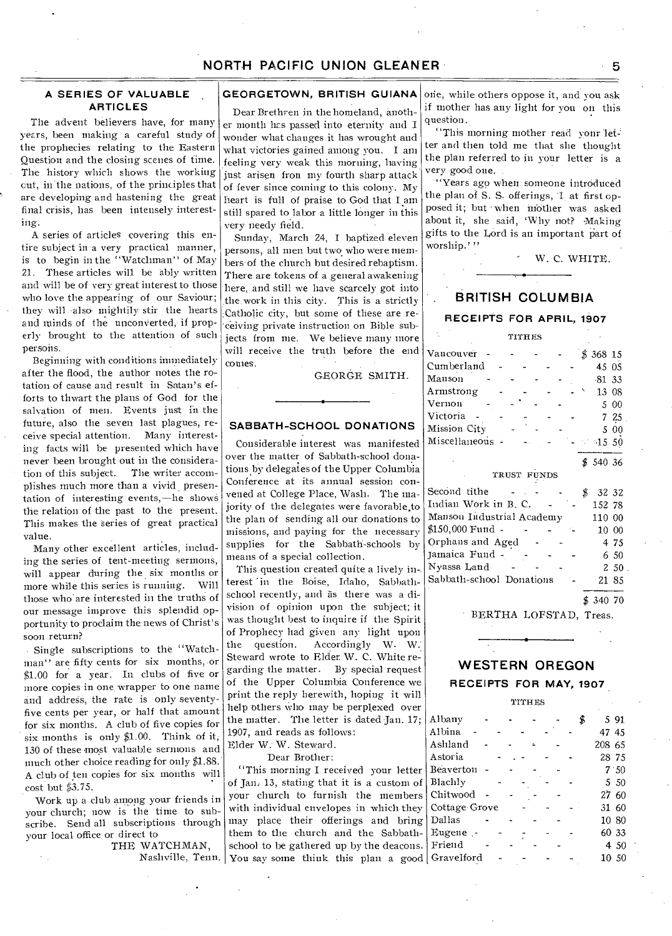#### **A SERIES OF VALUABLE ARTICLES**

The advent believers have, for many years, been making a careful study of the prophecies relating to the Eastern Question and the closing scenes of time. The history which shows the working cut, in the nations, of the principles that are developing and hastening the great final crisis, has been intensely interesting.

A series of articles covering this entire subject in a very practical manner, is to begin in the "Watchman" of May 21. These articles will be ably written and will be of very great interest to those who love the appearing of our Saviour; they will -also mightily stir the hearts and minds of the unconverted, if properly brought to the attention of such persons.

Beginning with conditions immediately after the flood, the author notes the rotation of cause and result in Satan's efforts to thwart the plans of God for the salvation of men. Events just in the future, also the seven last plagues, receive special attention. Many interesting facts will be presented which have never been brought out in the consideration of this subject. The writer accomplishes much more than a vivid presentation of interesting events,—he shows the relation of the past to the present. This makes the Series of great practical value.

Many other excellent articles, including the series of tent-meeting sermons, will appear during the six months or more while this series is running. Will those who are interested in the truths of our message improve this splendid opportunity to proclaim the news of Christ's soon return?

Single subscriptions to the "Watchman" are fifty cents for six months, or \$1.00 for a year. In clubs of five or more copies in one wrapper to one name and address, the rate is only seventyfive cents per year, or half that amount for six months. A club of five copies for six months is only \$1.00. Think of it; 130 of these most valuable sermons and much other choice reading for only \$1.88. A club of ten copies for six months will cost but \$3.75.

Work up a club among your friends in your church; now is the time to subscribe. Send all subscriptions through your local office or direct to

THE WATCHMAN,

#### **GEORGETOWN, BRITISH GUIANA**

Dear Brethren in the homeland, another month has passed into eternity and I wonder what changes it has wrought and what victories gained among you. I am feeling very weak this morning, having just arisen fron my fourth sharp attack of fever since coming to this colony. My heart is full of praise to God that I am still spared to labor a little longer in this very needy field.

Sunday, March 24, I baptized. eleven persons, all men but two who were members of the church but desired rebaptism. There are tokens of a general awakening here, and still we have scarcely got into the.work in this city. This is a strictly Catholic city, but some of these are receiving private instruction on Bible subjects from me. We believe many more will receive the truth before the end conies.

GEORGE SMITH.

#### **SABBATH-SCHOOL DONATIONS**

Considerable interest was manifested over the matter of Sabbath-school donations by delegates of the Upper Columbia Conference at its annual session convened at College Place, Wash. The majority of the delegates were favorable to the plan of sending all our donations to missions, and paying for the necessary supplies for the Sabbath-schools by means of a special collection.

This question created quite a lively in-. terest 'in the Boise, Idaho, Sabbathschool recently, and as there was a division of opinion upon the subject; it was thought best to inquire if the Spirit of Prophecy had given any light upon<br>the question. Accordingly W. W. Accordingly W. W. Steward wrote to Elder. W. C. White regarding the matter. By special request of the Upper Columbia Conference we print the reply herewith, hoping it will help others who may be perplexed over the matter. The letter is dated Jan. 17; 1907, and reads as follows: Elder W; W. Steward.

Dear Brother:

Nashville, Tenn. You say some think this plan a good "This morning I received your letter of Jan: 13, stating that it is a custom of your church to furnish the members with individual envelopes in which they may place their offerings and bring them to the church and the Sabbathschool to be gathered up by the deacons.

one, while others oppose it, and you ask if mother has any light for you on this question.

"This morning mother read your letter and then told me that she thought the plan referred to in your letter is a very good one.

"Years ago when someone introduced the plan of S. S. offerings, T at first opposed it; but when mother was asked about it, she said, 'Why not? Making gifts to the Lord is an important part of worship.'''

W. C. WHITE.

# **BRITISH COLUMBIA**

#### **RECEIPTS FOR APRIL, 1907**

TITHES

| Vancouver<br>$$368$ 15<br>Cumberland<br>45 05<br>Manson<br>$-81, 33$<br>Armstrong<br>13 08<br>Vernon<br>00<br>5<br>Victoria<br>7 25<br>Mission City<br>5 00<br>Miscellaneous<br>$-1550$<br>\$54036<br>TRUST FUNDS<br>Second tithe<br>\$<br>32 32<br>Indian Work in B. C.<br>152 78<br>Manson Industrial Academy<br>110 00<br>\$150,000 Fund -<br>$10\hphantom{,}00$<br>Orphans and Aged<br>4 75<br>Jamaica Fund -<br>6 50<br>Nyassa Land<br>250<br>Sabbath-school Donations<br>21 85 |  |  |  |  |  |  |
|--------------------------------------------------------------------------------------------------------------------------------------------------------------------------------------------------------------------------------------------------------------------------------------------------------------------------------------------------------------------------------------------------------------------------------------------------------------------------------------|--|--|--|--|--|--|
|                                                                                                                                                                                                                                                                                                                                                                                                                                                                                      |  |  |  |  |  |  |
|                                                                                                                                                                                                                                                                                                                                                                                                                                                                                      |  |  |  |  |  |  |
|                                                                                                                                                                                                                                                                                                                                                                                                                                                                                      |  |  |  |  |  |  |
|                                                                                                                                                                                                                                                                                                                                                                                                                                                                                      |  |  |  |  |  |  |
|                                                                                                                                                                                                                                                                                                                                                                                                                                                                                      |  |  |  |  |  |  |
|                                                                                                                                                                                                                                                                                                                                                                                                                                                                                      |  |  |  |  |  |  |
|                                                                                                                                                                                                                                                                                                                                                                                                                                                                                      |  |  |  |  |  |  |
|                                                                                                                                                                                                                                                                                                                                                                                                                                                                                      |  |  |  |  |  |  |
|                                                                                                                                                                                                                                                                                                                                                                                                                                                                                      |  |  |  |  |  |  |
|                                                                                                                                                                                                                                                                                                                                                                                                                                                                                      |  |  |  |  |  |  |
|                                                                                                                                                                                                                                                                                                                                                                                                                                                                                      |  |  |  |  |  |  |
|                                                                                                                                                                                                                                                                                                                                                                                                                                                                                      |  |  |  |  |  |  |
|                                                                                                                                                                                                                                                                                                                                                                                                                                                                                      |  |  |  |  |  |  |
|                                                                                                                                                                                                                                                                                                                                                                                                                                                                                      |  |  |  |  |  |  |
|                                                                                                                                                                                                                                                                                                                                                                                                                                                                                      |  |  |  |  |  |  |
|                                                                                                                                                                                                                                                                                                                                                                                                                                                                                      |  |  |  |  |  |  |
|                                                                                                                                                                                                                                                                                                                                                                                                                                                                                      |  |  |  |  |  |  |
|                                                                                                                                                                                                                                                                                                                                                                                                                                                                                      |  |  |  |  |  |  |
|                                                                                                                                                                                                                                                                                                                                                                                                                                                                                      |  |  |  |  |  |  |

\$ 340 70

BERTHA LOFSTAD, Treas.

# **WESTERN OREGON**

#### **RECEIPTS FOR MAY, 1907**

TITHES

| Albany           |  |  |  |  |        | 5 91 |
|------------------|--|--|--|--|--------|------|
| Albina           |  |  |  |  | 47 45  |      |
| Ashland          |  |  |  |  | 208 65 |      |
| Astoria          |  |  |  |  | 28 75  |      |
| <b>Beaverton</b> |  |  |  |  |        | 7.50 |
| Blachly          |  |  |  |  |        | 5 50 |
| Chitwood         |  |  |  |  | 2760   |      |
| Cottage Grove    |  |  |  |  | 31 60  |      |
| Dallas           |  |  |  |  | 10 80  |      |
| Eugene -         |  |  |  |  | 60 33  |      |
| Friend           |  |  |  |  |        | 4 50 |
| Gravelford       |  |  |  |  | 10 50  |      |
|                  |  |  |  |  |        |      |